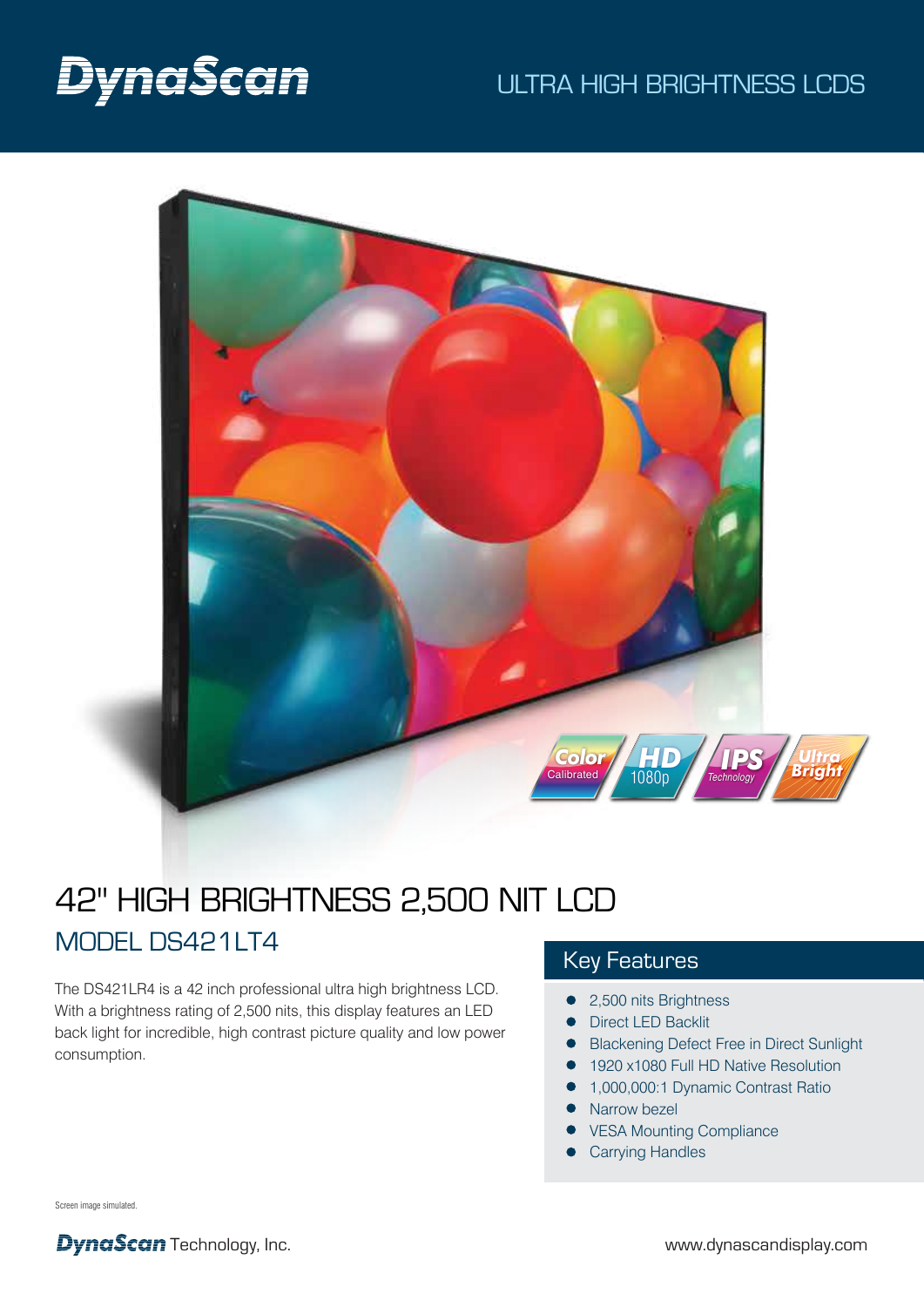# DynaScan

## ULTRA HIGH BRIGHTNESS LCDS



## 42" HIGH BRIGHTNESS 2,500 NIT LCD MODEL DS421LT4

The DS421LR4 is a 42 inch professional ultra high brightness LCD. With a brightness rating of 2,500 nits, this display features an LED back light for incredible, high contrast picture quality and low power consumption.

## Key Features

- 2,500 nits Brightness
- **•** Direct LED Backlit
- **Blackening Defect Free in Direct Sunlight**
- 1920 x1080 Full HD Native Resolution
	- 1,000,000:1 Dynamic Contrast Ratio
- $\bullet$ Narrow bezel
- VESA Mounting Compliance
- Carrying Handles

Screen image simulated.

**DynaScan** Technology, Inc. www.dynascandisplay.com